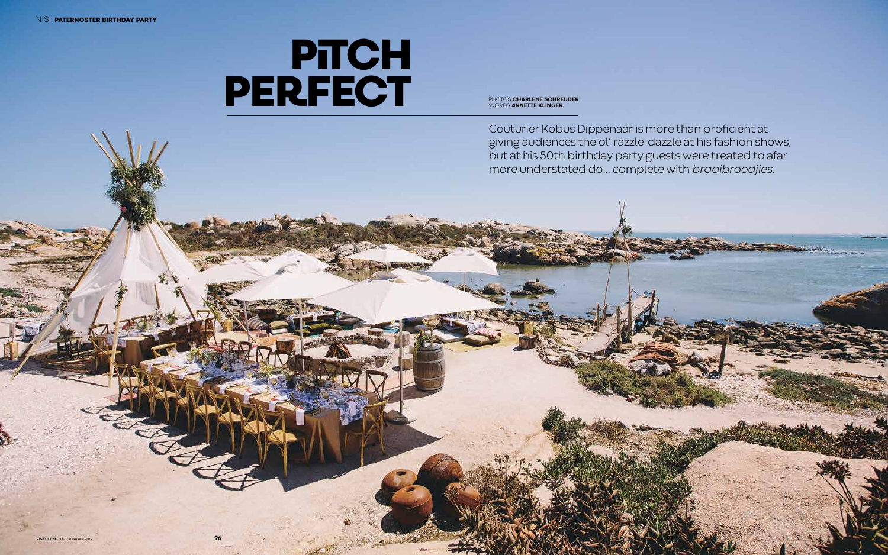## **PITCH PERFECT**

Couturier Kobus Dippenaar is more than proficient at giving audiences the ol' razzle-dazzle at his fashion shows, but at his 50th birthday party guests were treated to afar more understated do… complete with *braaibroodjies.* 

PHOTOS **CHARLENE SCHREUDER** WORDS **ANNETTE KLINGER**

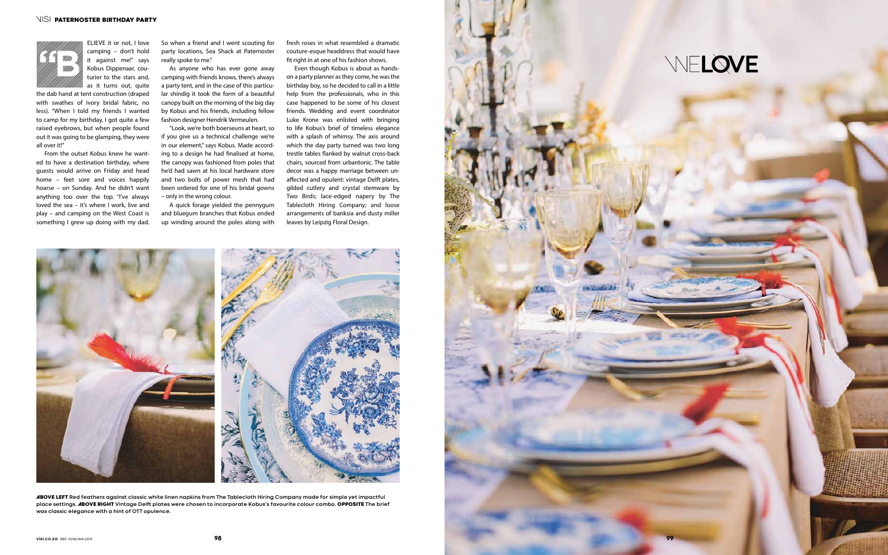the dab hand at tent construction (draped with swathes of ivory bridal fabric, no less). "When I told my friends I wanted to camp for my birthday, I got quite a few raised eyebrows, but when people found out it was going to be glamping, they were all over it!"

From the outset Kobus knew he wanted to have a destination birthday, where guests would arrive on Friday and head home – feet sore and voices happily hoarse – on Sunday. And he didn't want anything too over the top. "I've always loved the sea – it's where I work, live and play – and camping on the West Coast is something I grew up doing with my dad.

So when a friend and I went scouting for party locations, Sea Shack at Paternoster really spoke to me."

> As anyone who has ever gone away camping with friends knows, there's always a party tent, and in the case of this particular shindig it took the form of a beautiful canopy built on the morning of the big day by Kobus and his friends, including fellow fashion designer Hendrik Vermeulen.

ELIEVE it or not, I love camping – don't hold it against me!" says Kobus Dippenaar, couturier to the stars and, as it turns out, quite **"B**

> "Look, we're both boerseuns at heart, so if you give us a technical challenge we're in our element," says Kobus. Made according to a design he had finalised at home, the canopy was fashioned from poles that he'd had sawn at his local hardware store and two bolts of power mesh that had been ordered for one of his bridal gowns – only in the wrong colour.

> A quick forage yielded the pennygum and bluegum branches that Kobus ended up winding around the poles along with

fresh roses in what resembled a dramatic couture-esque headdress that would have fit right in at one of his fashion shows.

Even though Kobus is about as handson a party planner as they come, he was the birthday boy, so he decided to call in a little help from the professionals, who in this case happened to be some of his closest friends. Wedding and event coordinator Luke Krone was enlisted with bringing to life Kobus's brief of timeless elegance with a splash of whimsy. The axis around which the day party turned was two long trestle tables flanked by walnut cross-back chairs, sourced from urbantonic. The table decor was a happy marriage between unaffected and opulent: vintage Delft plates, gilded cutlery and crystal stemware by Two Birds; lace-edged napery by The Tablecloth Hiring Company; and loose arrangements of banksia and dusty miller leaves by Leipzig Floral Design.



ABOVE LEFT **Red feathers against classic white linen napkins from The Tablecloth Hiring Company made for simple yet impactful place settings.** ABOVE RIGHT **Vintage Delft plates were chosen to incorporate Kobus's favourite colour combo.** OPPOSITE **The brief was classic elegance with a hint of OTT opulence.**



## WELOVE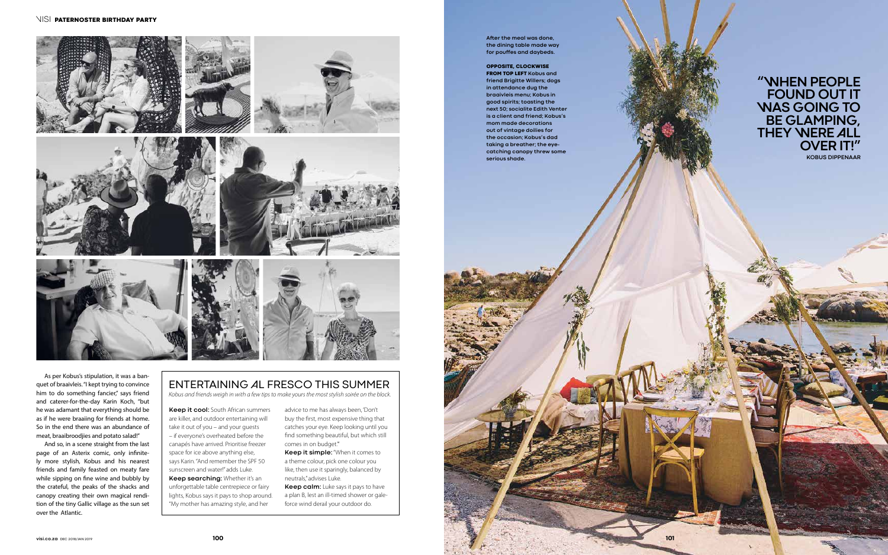As per Kobus's stipulation, it was a banquet of braaivleis. "I kept trying to convince him to do something fancier," says friend and caterer-for-the-day Karin Koch, "but he was adamant that everything should be as if he were braaiing for friends at home. So in the end there was an abundance of meat, braaibroodjies and potato salad!"

And so, in a scene straight from the last page of an Asterix comic, only infinitely more stylish, Kobus and his nearest friends and family feasted on meaty fare while sipping on fine wine and bubbly by the crateful, the peaks of the shacks and canopy creating their own magical rendition of the tiny Gallic village as the sun set over the Atlantic.

## ENTERTAINING AL FRESCO THIS SUMMER

*Kobus and friends weigh in with a few tips to make yours the most stylish soirée on the block.*

**Keep it simple:** "When it comes to a theme colour, pick one colour you like, then use it sparingly, balanced by neutrals," advises Luke.

**Keep it cool:** South African summers are killer, and outdoor entertaining will take it out of you – and your guests – if everyone's overheated before the canapés have arrived. Prioritise freezer space for ice above anything else, says Karin. "And remember the SPF 50 sunscreen and water!" adds Luke. **Keep searching:** Whether it's an unforgettable table centrepiece or fairy lights, Kobus says it pays to shop around. "My mother has amazing style, and her

advice to me has always been, 'Don't buy the first, most expensive thing that catches your eye. Keep looking until you find something beautiful, but which still comes in on budget.'''

**Keep calm:** Luke says it pays to have a plan B, lest an ill-timed shower or galeforce wind derail your outdoor do.

**After the meal was done, the dining table made way for pouffes and daybeds.**

## OPPOSITE, CLOCKWISE

FROM TOP LEFT **Kobus and friend Brigitte Willers; dogs in attendance dug the braaivleis menu; Kobus in good spirits; toasting the next 50; socialite Edith Venter is a client and friend; Kobus's mom made decorations out of vintage doilies for the occasion; Kobus's dad taking a breather; the eyecatching canopy threw some serious shade.**